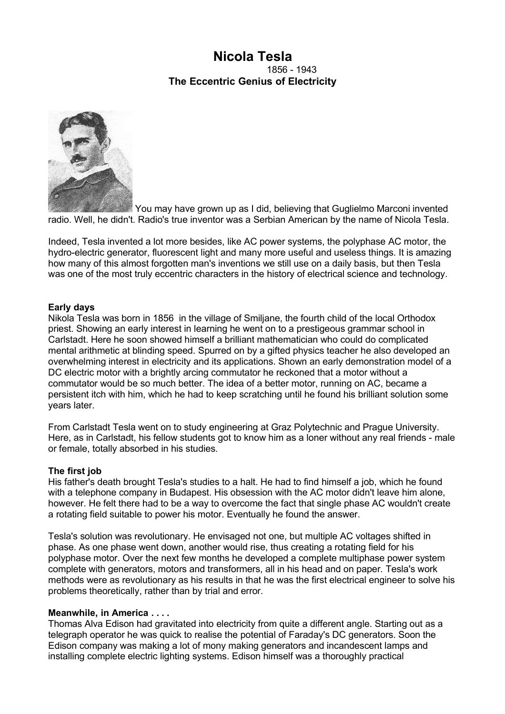# **Nicola Tesla** 1856 - 1943 **The Eccentric Genius of Electricity**



You may have grown up as I did, believing that Guglielmo Marconi invented radio. Well, he didn't. Radio's true inventor was a Serbian American by the name of Nicola Tesla.

Indeed, Tesla invented a lot more besides, like AC power systems, the polyphase AC motor, the hydro-electric generator, fluorescent light and many more useful and useless things. It is amazing how many of this almost forgotten man's inventions we still use on a daily basis, but then Tesla was one of the most truly eccentric characters in the history of electrical science and technology.

## **Early days**

Nikola Tesla was born in 1856 in the village of Smiljane, the fourth child of the local Orthodox priest. Showing an early interest in learning he went on to a prestigeous grammar school in Carlstadt. Here he soon showed himself a brilliant mathematician who could do complicated mental arithmetic at blinding speed. Spurred on by a gifted physics teacher he also developed an overwhelming interest in electricity and its applications. Shown an early demonstration model of a DC electric motor with a brightly arcing commutator he reckoned that a motor without a commutator would be so much better. The idea of a better motor, running on AC, became a persistent itch with him, which he had to keep scratching until he found his brilliant solution some years later.

From Carlstadt Tesla went on to study engineering at Graz Polytechnic and Prague University. Here, as in Carlstadt, his fellow students got to know him as a loner without any real friends - male or female, totally absorbed in his studies.

#### **The first job**

His father's death brought Tesla's studies to a halt. He had to find himself a job, which he found with a telephone company in Budapest. His obsession with the AC motor didn't leave him alone, however. He felt there had to be a way to overcome the fact that single phase AC wouldn't create a rotating field suitable to power his motor. Eventually he found the answer.

Tesla's solution was revolutionary. He envisaged not one, but multiple AC voltages shifted in phase. As one phase went down, another would rise, thus creating a rotating field for his polyphase motor. Over the next few months he developed a complete multiphase power system complete with generators, motors and transformers, all in his head and on paper. Tesla's work methods were as revolutionary as his results in that he was the first electrical engineer to solve his problems theoretically, rather than by trial and error.

#### **Meanwhile, in America . . . .**

Thomas Alva Edison had gravitated into electricity from quite a different angle. Starting out as a telegraph operator he was quick to realise the potential of Faraday's DC generators. Soon the Edison company was making a lot of mony making generators and incandescent lamps and installing complete electric lighting systems. Edison himself was a thoroughly practical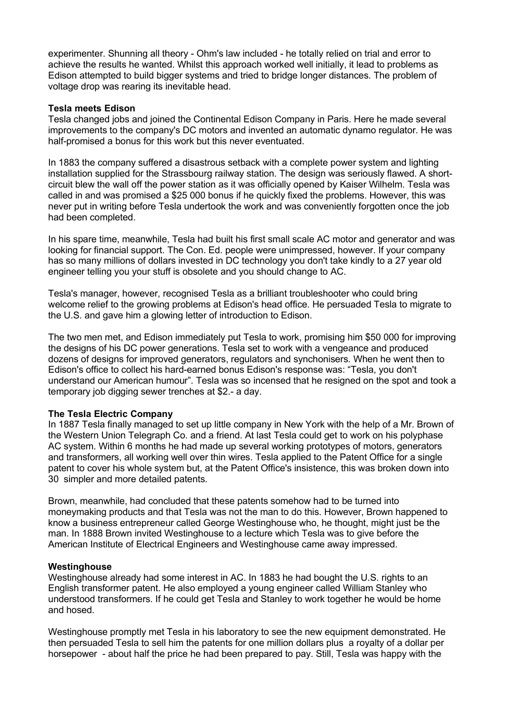experimenter. Shunning all theory - Ohm's law included - he totally relied on trial and error to achieve the results he wanted. Whilst this approach worked well initially, it lead to problems as Edison attempted to build bigger systems and tried to bridge longer distances. The problem of voltage drop was rearing its inevitable head.

### **Tesla meets Edison**

Tesla changed jobs and joined the Continental Edison Company in Paris. Here he made several improvements to the company's DC motors and invented an automatic dynamo regulator. He was half-promised a bonus for this work but this never eventuated.

In 1883 the company suffered a disastrous setback with a complete power system and lighting installation supplied for the Strassbourg railway station. The design was seriously flawed. A shortcircuit blew the wall off the power station as it was officially opened by Kaiser Wilhelm. Tesla was called in and was promised a \$25 000 bonus if he quickly fixed the problems. However, this was never put in writing before Tesla undertook the work and was conveniently forgotten once the job had been completed.

In his spare time, meanwhile, Tesla had built his first small scale AC motor and generator and was looking for financial support. The Con. Ed. people were unimpressed, however. If your company has so many millions of dollars invested in DC technology you don't take kindly to a 27 year old engineer telling you your stuff is obsolete and you should change to AC.

Tesla's manager, however, recognised Tesla as a brilliant troubleshooter who could bring welcome relief to the growing problems at Edison's head office. He persuaded Tesla to migrate to the U.S. and gave him a glowing letter of introduction to Edison.

The two men met, and Edison immediately put Tesla to work, promising him \$50 000 for improving the designs of his DC power generations. Tesla set to work with a vengeance and produced dozens of designs for improved generators, regulators and synchonisers. When he went then to Edison's office to collect his hard-earned bonus Edison's response was: "Tesla, you don't understand our American humour". Tesla was so incensed that he resigned on the spot and took a temporary job digging sewer trenches at \$2.- a day.

## **The Tesla Electric Company**

In 1887 Tesla finally managed to set up little company in New York with the help of a Mr. Brown of the Western Union Telegraph Co. and a friend. At last Tesla could get to work on his polyphase AC system. Within 6 months he had made up several working prototypes of motors, generators and transformers, all working well over thin wires. Tesla applied to the Patent Office for a single patent to cover his whole system but, at the Patent Office's insistence, this was broken down into 30 simpler and more detailed patents.

Brown, meanwhile, had concluded that these patents somehow had to be turned into moneymaking products and that Tesla was not the man to do this. However, Brown happened to know a business entrepreneur called George Westinghouse who, he thought, might just be the man. In 1888 Brown invited Westinghouse to a lecture which Tesla was to give before the American Institute of Electrical Engineers and Westinghouse came away impressed.

#### **Westinghouse**

Westinghouse already had some interest in AC. In 1883 he had bought the U.S. rights to an English transformer patent. He also employed a young engineer called William Stanley who understood transformers. If he could get Tesla and Stanley to work together he would be home and hosed.

Westinghouse promptly met Tesla in his laboratory to see the new equipment demonstrated. He then persuaded Tesla to sell him the patents for one million dollars plus a royalty of a dollar per horsepower - about half the price he had been prepared to pay. Still, Tesla was happy with the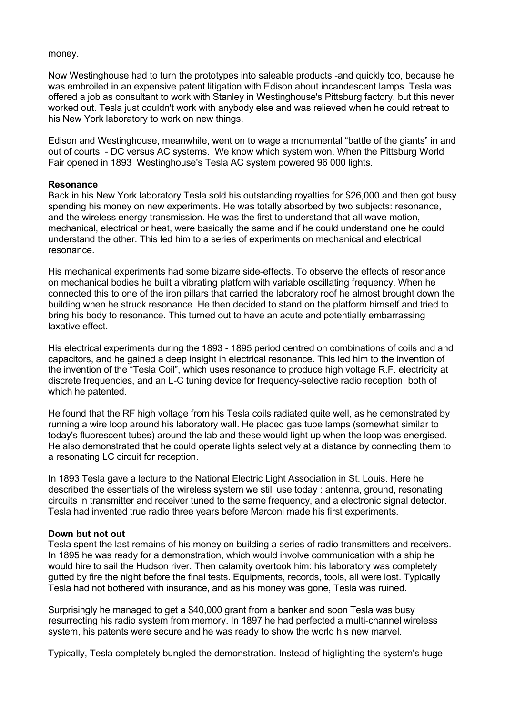#### money.

Now Westinghouse had to turn the prototypes into saleable products -and quickly too, because he was embroiled in an expensive patent litigation with Edison about incandescent lamps. Tesla was offered a job as consultant to work with Stanley in Westinghouse's Pittsburg factory, but this never worked out. Tesla just couldn't work with anybody else and was relieved when he could retreat to his New York laboratory to work on new things.

Edison and Westinghouse, meanwhile, went on to wage a monumental "battle of the giants" in and out of courts - DC versus AC systems. We know which system won. When the Pittsburg World Fair opened in 1893 Westinghouse's Tesla AC system powered 96 000 lights.

#### **Resonance**

Back in his New York laboratory Tesla sold his outstanding royalties for \$26,000 and then got busy spending his money on new experiments. He was totally absorbed by two subjects: resonance, and the wireless energy transmission. He was the first to understand that all wave motion, mechanical, electrical or heat, were basically the same and if he could understand one he could understand the other. This led him to a series of experiments on mechanical and electrical resonance.

His mechanical experiments had some bizarre side-effects. To observe the effects of resonance on mechanical bodies he built a vibrating platfom with variable oscillating frequency. When he connected this to one of the iron pillars that carried the laboratory roof he almost brought down the building when he struck resonance. He then decided to stand on the platform himself and tried to bring his body to resonance. This turned out to have an acute and potentially embarrassing laxative effect.

His electrical experiments during the 1893 - 1895 period centred on combinations of coils and and capacitors, and he gained a deep insight in electrical resonance. This led him to the invention of the invention of the "Tesla Coil", which uses resonance to produce high voltage R.F. electricity at discrete frequencies, and an L-C tuning device for frequency-selective radio reception, both of which he patented.

He found that the RF high voltage from his Tesla coils radiated quite well, as he demonstrated by running a wire loop around his laboratory wall. He placed gas tube lamps (somewhat similar to today's fluorescent tubes) around the lab and these would light up when the loop was energised. He also demonstrated that he could operate lights selectively at a distance by connecting them to a resonating LC circuit for reception.

In 1893 Tesla gave a lecture to the National Electric Light Association in St. Louis. Here he described the essentials of the wireless system we still use today : antenna, ground, resonating circuits in transmitter and receiver tuned to the same frequency, and a electronic signal detector. Tesla had invented true radio three years before Marconi made his first experiments.

#### **Down but not out**

Tesla spent the last remains of his money on building a series of radio transmitters and receivers. In 1895 he was ready for a demonstration, which would involve communication with a ship he would hire to sail the Hudson river. Then calamity overtook him: his laboratory was completely gutted by fire the night before the final tests. Equipments, records, tools, all were lost. Typically Tesla had not bothered with insurance, and as his money was gone, Tesla was ruined.

Surprisingly he managed to get a \$40,000 grant from a banker and soon Tesla was busy resurrecting his radio system from memory. In 1897 he had perfected a multi-channel wireless system, his patents were secure and he was ready to show the world his new marvel.

Typically, Tesla completely bungled the demonstration. Instead of higlighting the system's huge